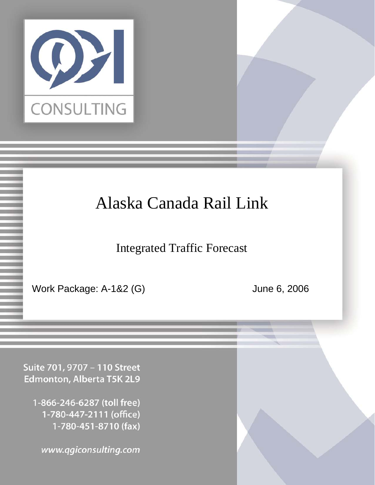

# Alaska Canada Rail Link

Integrated Traffic Forecast

Confidential Page 1 6/6/2006

Work Package: A-1&2 (G) June 6, 2006

Suite 701, 9707 - 110 Street Edmonton, Alberta T5K 2L9

1-866-246-6287 (toll free) 1-780-447-2111 (office) 1-780-451-8710 (fax)

www.qgiconsulting.com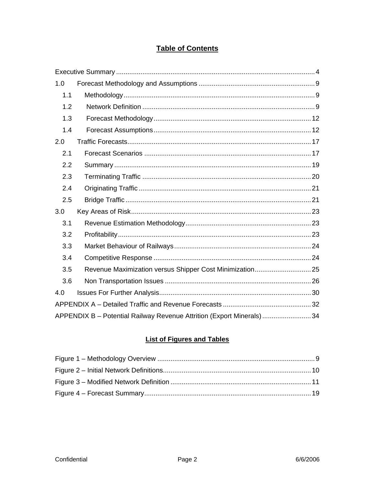### **Table of Contents**

| 1.0 |                                                                       |  |
|-----|-----------------------------------------------------------------------|--|
| 1.1 |                                                                       |  |
| 1.2 |                                                                       |  |
| 1.3 |                                                                       |  |
| 1.4 |                                                                       |  |
| 2.0 |                                                                       |  |
| 2.1 |                                                                       |  |
| 2.2 |                                                                       |  |
| 2.3 |                                                                       |  |
| 2.4 |                                                                       |  |
| 2.5 |                                                                       |  |
| 3.0 |                                                                       |  |
| 3.1 |                                                                       |  |
| 3.2 |                                                                       |  |
| 3.3 |                                                                       |  |
| 3.4 |                                                                       |  |
| 3.5 | Revenue Maximization versus Shipper Cost Minimization 25              |  |
| 3.6 |                                                                       |  |
| 4.0 |                                                                       |  |
|     |                                                                       |  |
|     | APPENDIX B - Potential Railway Revenue Attrition (Export Minerals) 34 |  |

### **List of Figures and Tables**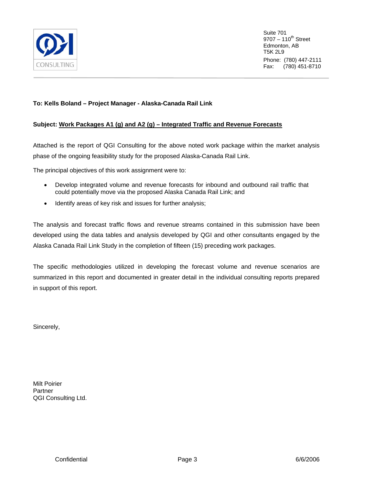

Suite 701  $9707 - 110^{th}$  Street Edmonton, AB T5K 2L9 Phone: (780) 447-2111 Fax: (780) 451-8710

#### **To: Kells Boland – Project Manager - Alaska-Canada Rail Link**

#### **Subject: Work Packages A1 (g) and A2 (g) – Integrated Traffic and Revenue Forecasts**

Attached is the report of QGI Consulting for the above noted work package within the market analysis phase of the ongoing feasibility study for the proposed Alaska-Canada Rail Link.

The principal objectives of this work assignment were to:

- Develop integrated volume and revenue forecasts for inbound and outbound rail traffic that could potentially move via the proposed Alaska Canada Rail Link; and
- Identify areas of key risk and issues for further analysis;

The analysis and forecast traffic flows and revenue streams contained in this submission have been developed using the data tables and analysis developed by QGI and other consultants engaged by the Alaska Canada Rail Link Study in the completion of fifteen (15) preceding work packages.

The specific methodologies utilized in developing the forecast volume and revenue scenarios are summarized in this report and documented in greater detail in the individual consulting reports prepared in support of this report.

Sincerely,

Milt Poirier **Partner** QGI Consulting Ltd.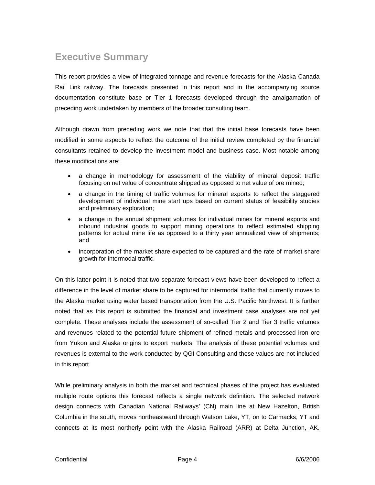### <span id="page-3-0"></span>**Executive Summary**

This report provides a view of integrated tonnage and revenue forecasts for the Alaska Canada Rail Link railway. The forecasts presented in this report and in the accompanying source documentation constitute base or Tier 1 forecasts developed through the amalgamation of preceding work undertaken by members of the broader consulting team.

Although drawn from preceding work we note that that the initial base forecasts have been modified in some aspects to reflect the outcome of the initial review completed by the financial consultants retained to develop the investment model and business case. Most notable among these modifications are:

- a change in methodology for assessment of the viability of mineral deposit traffic focusing on net value of concentrate shipped as opposed to net value of ore mined;
- a change in the timing of traffic volumes for mineral exports to reflect the staggered development of individual mine start ups based on current status of feasibility studies and preliminary exploration;
- a change in the annual shipment volumes for individual mines for mineral exports and inbound industrial goods to support mining operations to reflect estimated shipping patterns for actual mine life as opposed to a thirty year annualized view of shipments; and
- incorporation of the market share expected to be captured and the rate of market share growth for intermodal traffic.

On this latter point it is noted that two separate forecast views have been developed to reflect a difference in the level of market share to be captured for intermodal traffic that currently moves to the Alaska market using water based transportation from the U.S. Pacific Northwest. It is further noted that as this report is submitted the financial and investment case analyses are not yet complete. These analyses include the assessment of so-called Tier 2 and Tier 3 traffic volumes and revenues related to the potential future shipment of refined metals and processed iron ore from Yukon and Alaska origins to export markets. The analysis of these potential volumes and revenues is external to the work conducted by QGI Consulting and these values are not included in this report.

While preliminary analysis in both the market and technical phases of the project has evaluated multiple route options this forecast reflects a single network definition. The selected network design connects with Canadian National Railways' (CN) main line at New Hazelton, British Columbia in the south, moves northeastward through Watson Lake, YT, on to Carmacks, YT and connects at its most northerly point with the Alaska Railroad (ARR) at Delta Junction, AK.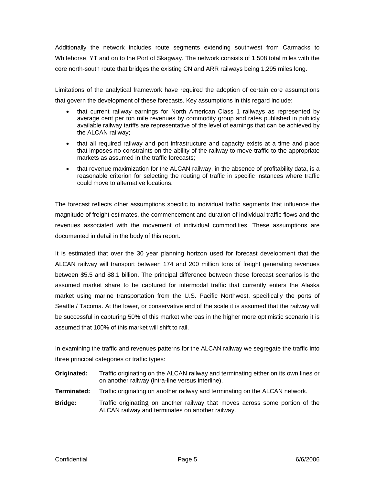Additionally the network includes route segments extending southwest from Carmacks to Whitehorse, YT and on to the Port of Skagway. The network consists of 1,508 total miles with the core north-south route that bridges the existing CN and ARR railways being 1,295 miles long.

Limitations of the analytical framework have required the adoption of certain core assumptions that govern the development of these forecasts. Key assumptions in this regard include:

- that current railway earnings for North American Class 1 railways as represented by average cent per ton mile revenues by commodity group and rates published in publicly available railway tariffs are representative of the level of earnings that can be achieved by the ALCAN railway;
- that all required railway and port infrastructure and capacity exists at a time and place that imposes no constraints on the ability of the railway to move traffic to the appropriate markets as assumed in the traffic forecasts;
- that revenue maximization for the ALCAN railway, in the absence of profitability data, is a reasonable criterion for selecting the routing of traffic in specific instances where traffic could move to alternative locations.

The forecast reflects other assumptions specific to individual traffic segments that influence the magnitude of freight estimates, the commencement and duration of individual traffic flows and the revenues associated with the movement of individual commodities. These assumptions are documented in detail in the body of this report.

It is estimated that over the 30 year planning horizon used for forecast development that the ALCAN railway will transport between 174 and 200 million tons of freight generating revenues between \$5.5 and \$8.1 billion. The principal difference between these forecast scenarios is the assumed market share to be captured for intermodal traffic that currently enters the Alaska market using marine transportation from the U.S. Pacific Northwest, specifically the ports of Seattle / Tacoma. At the lower, or conservative end of the scale it is assumed that the railway will be successful in capturing 50% of this market whereas in the higher more optimistic scenario it is assumed that 100% of this market will shift to rail.

In examining the traffic and revenues patterns for the ALCAN railway we segregate the traffic into three principal categories or traffic types:

- **Originated:** Traffic originating on the ALCAN railway and terminating either on its own lines or on another railway (intra-line versus interline).
- **Terminated:** Traffic originating on another railway and terminating on the ALCAN network.
- **Bridge:** Traffic originating on another railway that moves across some portion of the ALCAN railway and terminates on another railway.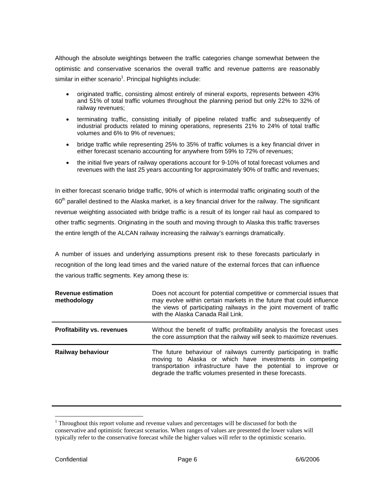Although the absolute weightings between the traffic categories change somewhat between the optimistic and conservative scenarios the overall traffic and revenue patterns are reasonably similar in either scenario $^1$  $^1$ . Principal highlights include:

- originated traffic, consisting almost entirely of mineral exports, represents between 43% and 51% of total traffic volumes throughout the planning period but only 22% to 32% of railway revenues;
- terminating traffic, consisting initially of pipeline related traffic and subsequently of industrial products related to mining operations, represents 21% to 24% of total traffic volumes and 6% to 9% of revenues;
- bridge traffic while representing 25% to 35% of traffic volumes is a key financial driver in either forecast scenario accounting for anywhere from 59% to 72% of revenues;
- the initial five years of railway operations account for 9-10% of total forecast volumes and revenues with the last 25 years accounting for approximately 90% of traffic and revenues;

In either forecast scenario bridge traffic, 90% of which is intermodal traffic originating south of the 60<sup>th</sup> parallel destined to the Alaska market, is a key financial driver for the railway. The significant revenue weighting associated with bridge traffic is a result of its longer rail haul as compared to other traffic segments. Originating in the south and moving through to Alaska this traffic traverses the entire length of the ALCAN railway increasing the railway's earnings dramatically.

A number of issues and underlying assumptions present risk to these forecasts particularly in recognition of the long lead times and the varied nature of the external forces that can influence the various traffic segments. Key among these is:

| <b>Revenue estimation</b><br>methodology | Does not account for potential competitive or commercial issues that<br>may evolve within certain markets in the future that could influence<br>the views of participating railways in the joint movement of traffic<br>with the Alaska Canada Rail Link.     |  |  |  |  |  |
|------------------------------------------|---------------------------------------------------------------------------------------------------------------------------------------------------------------------------------------------------------------------------------------------------------------|--|--|--|--|--|
| <b>Profitability vs. revenues</b>        | Without the benefit of traffic profitability analysis the forecast uses<br>the core assumption that the railway will seek to maximize revenues.                                                                                                               |  |  |  |  |  |
| <b>Railway behaviour</b>                 | The future behaviour of railways currently participating in traffic<br>moving to Alaska or which have investments in competing<br>transportation infrastructure have the potential to improve or<br>degrade the traffic volumes presented in these forecasts. |  |  |  |  |  |

<span id="page-5-0"></span><sup>&</sup>lt;sup>1</sup> Throughout this report volume and revenue values and percentages will be discussed for both the conservative and optimistic forecast scenarios. When ranges of values are presented the lower values will typically refer to the conservative forecast while the higher values will refer to the optimistic scenario.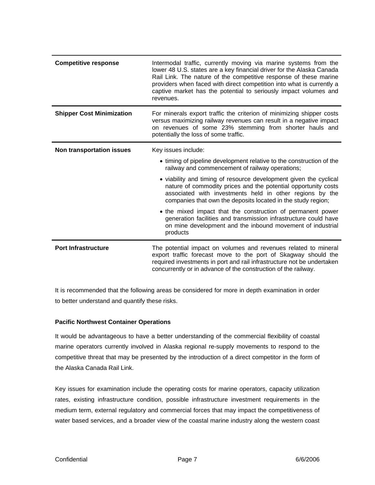| <b>Competitive response</b>      | Intermodal traffic, currently moving via marine systems from the<br>lower 48 U.S. states are a key financial driver for the Alaska Canada<br>Rail Link. The nature of the competitive response of these marine<br>providers when faced with direct competition into what is currently a<br>captive market has the potential to seriously impact volumes and<br>revenues. |
|----------------------------------|--------------------------------------------------------------------------------------------------------------------------------------------------------------------------------------------------------------------------------------------------------------------------------------------------------------------------------------------------------------------------|
| <b>Shipper Cost Minimization</b> | For minerals export traffic the criterion of minimizing shipper costs<br>versus maximizing railway revenues can result in a negative impact<br>on revenues of some 23% stemming from shorter hauls and<br>potentially the loss of some traffic.                                                                                                                          |
| Non transportation issues        | Key issues include:                                                                                                                                                                                                                                                                                                                                                      |
|                                  | • timing of pipeline development relative to the construction of the<br>railway and commencement of railway operations;                                                                                                                                                                                                                                                  |
|                                  | • viability and timing of resource development given the cyclical<br>nature of commodity prices and the potential opportunity costs<br>associated with investments held in other regions by the<br>companies that own the deposits located in the study region;                                                                                                          |
|                                  | • the mixed impact that the construction of permanent power<br>generation facilities and transmission infrastructure could have<br>on mine development and the inbound movement of industrial<br>products                                                                                                                                                                |
| <b>Port Infrastructure</b>       | The potential impact on volumes and revenues related to mineral<br>export traffic forecast move to the port of Skagway should the<br>required investments in port and rail infrastructure not be undertaken<br>concurrently or in advance of the construction of the railway.                                                                                            |

It is recommended that the following areas be considered for more in depth examination in order to better understand and quantify these risks.

#### **Pacific Northwest Container Operations**

It would be advantageous to have a better understanding of the commercial flexibility of coastal marine operators currently involved in Alaska regional re-supply movements to respond to the competitive threat that may be presented by the introduction of a direct competitor in the form of the Alaska Canada Rail Link.

Key issues for examination include the operating costs for marine operators, capacity utilization rates, existing infrastructure condition, possible infrastructure investment requirements in the medium term, external regulatory and commercial forces that may impact the competitiveness of water based services, and a broader view of the coastal marine industry along the western coast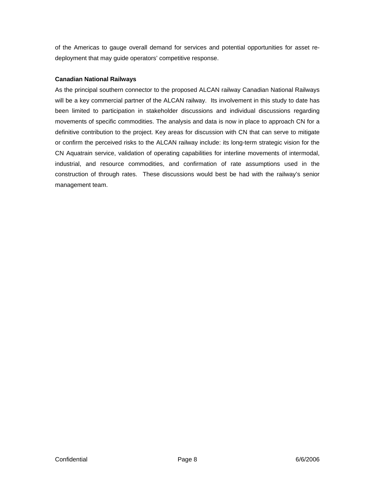of the Americas to gauge overall demand for services and potential opportunities for asset redeployment that may guide operators' competitive response.

#### **Canadian National Railways**

As the principal southern connector to the proposed ALCAN railway Canadian National Railways will be a key commercial partner of the ALCAN railway. Its involvement in this study to date has been limited to participation in stakeholder discussions and individual discussions regarding movements of specific commodities. The analysis and data is now in place to approach CN for a definitive contribution to the project. Key areas for discussion with CN that can serve to mitigate or confirm the perceived risks to the ALCAN railway include: its long-term strategic vision for the CN Aquatrain service, validation of operating capabilities for interline movements of intermodal, industrial, and resource commodities, and confirmation of rate assumptions used in the construction of through rates. These discussions would best be had with the railway's senior management team.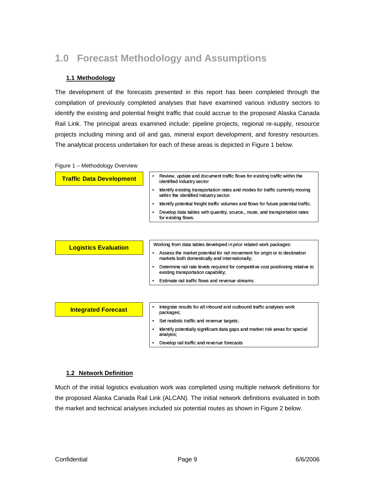# <span id="page-8-0"></span>**1.0 Forecast Methodology and Assumptions**

#### **1.1 Methodology**

The development of the forecasts presented in this report has been completed through the compilation of previously completed analyses that have examined various industry sectors to identify the existing and potential freight traffic that could accrue to the proposed Alaska Canada Rail Link. The principal areas examined include: pipeline projects, regional re-supply, resource projects including mining and oil and gas, mineral export development, and forestry resources. The analytical process undertaken for each of these areas is depicted in Figure 1 below.

|  | Figure 1 - Methodology Overview |  |
|--|---------------------------------|--|

| <b>Traffic Data Development</b> | Review, update and document traffic flows for existing traffic within the<br>identified industry sector                      |  |  |  |  |  |  |
|---------------------------------|------------------------------------------------------------------------------------------------------------------------------|--|--|--|--|--|--|
|                                 | Identify existing transportation rates and modes for traffic currently moving<br>within the identified industry sector.      |  |  |  |  |  |  |
|                                 | Identify potential freight traffic volumes and flows for future potential traffic.                                           |  |  |  |  |  |  |
|                                 | Develop data tables with quantity, source, route, and transportation rates<br>for existing flows.                            |  |  |  |  |  |  |
|                                 |                                                                                                                              |  |  |  |  |  |  |
| <b>Logistics Evaluation</b>     | Working from data tables developed in prior related work packages:                                                           |  |  |  |  |  |  |
|                                 | Assess the market potential for rail movement for origin or to destination<br>markets both domestically and internationally; |  |  |  |  |  |  |
|                                 | Determine rail rate levels required for competitive cost positioning relative to<br>existing transportation capability;      |  |  |  |  |  |  |
|                                 | Estimate rail traffic flows and revenue streams.                                                                             |  |  |  |  |  |  |
|                                 |                                                                                                                              |  |  |  |  |  |  |
| <b>Integrated Forecast</b>      | Integrate results for all inbound and outbound traffic analyses work<br>packages;                                            |  |  |  |  |  |  |
|                                 | Set realistic traffic and revenue targets;<br>٠                                                                              |  |  |  |  |  |  |
|                                 | Identify potentially significant data gaps and market risk areas for special<br>analysis;                                    |  |  |  |  |  |  |
|                                 | Develop rail traffic and revenue forecasts                                                                                   |  |  |  |  |  |  |

#### **1.2 Network Definition**

Much of the initial logistics evaluation work was completed using multiple network definitions for the proposed Alaska Canada Rail Link (ALCAN). The initial network definitions evaluated in both the market and technical analyses included six potential routes as shown in Figure 2 below.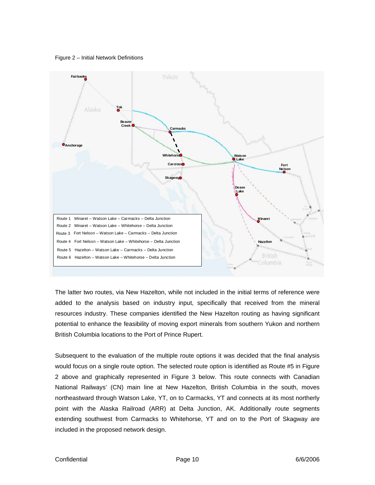Figure 2 – Initial Network Definitions

<span id="page-9-0"></span>

The latter two routes, via New Hazelton, while not included in the initial terms of reference were added to the analysis based on industry input, specifically that received from the mineral resources industry. These companies identified the New Hazelton routing as having significant potential to enhance the feasibility of moving export minerals from southern Yukon and northern British Columbia locations to the Port of Prince Rupert.

Subsequent to the evaluation of the multiple route options it was decided that the final analysis included in the proposed network design. would focus on a single route option. The selected route option is identified as Route #5 in Figure 2 above and graphically represented in Figure 3 below. This route connects with Canadian National Railways' (CN) main line at New Hazelton, British Columbia in the south, moves northeastward through Watson Lake, YT, on to Carmacks, YT and connects at its most northerly point with the Alaska Railroad (ARR) at Delta Junction, AK. Additionally route segments extending southwest from Carmacks to Whitehorse, YT and on to the Port of Skagway are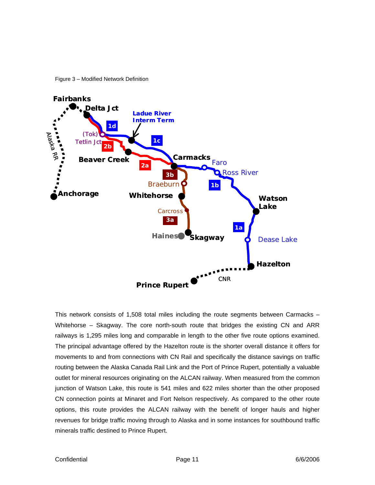Figure 3 – Modified Network Definition

<span id="page-10-0"></span>

This network consists of 1,508 total miles including the route segments between Carmacks -Whitehorse – Skagway. The core north-south route that bridges the existing CN and ARR railways is 1,295 miles long and comparable in length to the other five route options examined. The principal advantage offered by the Hazelton route is the shorter overall distance it offers for movements to and from connections with CN Rail and specifically the distance savings on traffic routing between the Alaska Canada Rail Link and the Port of Prince Rupert, potentially a valuable outlet for mineral resources originating on the ALCAN railway. When measured from the common junction of Watson Lake, this route is 541 miles and 622 miles shorter than the other proposed CN connection points at Minaret and Fort Nelson respectively. As compared to the other route options, this route provides the ALCAN railway with the benefit of longer hauls and higher revenues for bridge traffic moving through to Alaska and in some instances for southbound traffic minerals traffic destined to Prince Rupert.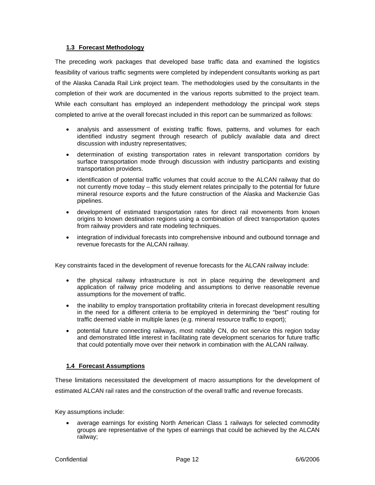#### <span id="page-11-0"></span>**1.3 Forecast Methodology**

The preceding work packages that developed base traffic data and examined the logistics feasibility of various traffic segments were completed by independent consultants working as part of the Alaska Canada Rail Link project team. The methodologies used by the consultants in the completion of their work are documented in the various reports submitted to the project team. While each consultant has employed an independent methodology the principal work steps completed to arrive at the overall forecast included in this report can be summarized as follows:

- discussion with industry representatives; • analysis and assessment of existing traffic flows, patterns, and volumes for each identified industry segment through research of publicly available data and direct
- determination of existing transportation rates in relevant transportation corridors by surface transportation mode through discussion with industry participants and existing transportation providers.
- mineral resource exports and the future construction of the Alaska and Mackenzie Gas • identification of potential traffic volumes that could accrue to the ALCAN railway that do not currently move today – this study element relates principally to the potential for future pipelines.
- from railway providers and rate modeling techniques. development of estimated transportation rates for direct rail movements from known origins to known destination regions using a combination of direct transportation quotes
- integration of individual forecasts into comprehensive inbound and outbound tonnage and revenue forecasts for the ALCAN railway.

Key constraints faced in the development of revenue forecasts for the ALCAN railway include:

- the physical railway infrastructure is not in place requiring the development and application of railway price modeling and assumptions to derive reasonable revenue assumptions for the movement of traffic.
- traffic deemed viable in multiple lanes (e.g. mineral resource traffic to export); • the inability to employ transportation profitability criteria in forecast development resulting in the need for a different criteria to be employed in determining the "best" routing for
- that could potentially move over their network in combination with the ALCAN railway. • potential future connecting railways, most notably CN, do not service this region today and demonstrated little interest in facilitating rate development scenarios for future traffic

#### **1.4 Forecast Assumptions**

These limitations necessitated the development of macro assumptions for the development of estimated ALCAN rail rates and the construction of the overall traffic and revenue forecasts.

Key assumptions include:

• average earnings for existing North American Class 1 railways for selected commodity groups are representative of the types of earnings that could be achieved by the ALCAN railway;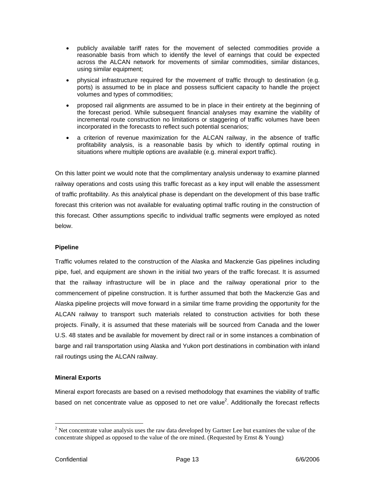- publicly available tariff rates for the movement of selected commodities provide a reasonable basis from which to identify the level of earnings that could be expected across the ALCAN network for movements of similar commodities, similar distances, using similar equipment;
- physical infrastructure required for the movement of traffic through to destination (e.g. volumes and types of commodities; ports) is assumed to be in place and possess sufficient capacity to handle the project
- incremental route construction no limitations or staggering of traffic volumes have been • proposed rail alignments are assumed to be in place in their entirety at the beginning of the forecast period. While subsequent financial analyses may examine the viability of incorporated in the forecasts to reflect such potential scenarios;
- situations where multiple options are available (e.g. mineral export traffic). a criterion of revenue maximization for the ALCAN railway, in the absence of traffic profitability analysis, is a reasonable basis by which to identify optimal routing in

On this latter point we would note that the complimentary analysis underway to examine planned railway operations and costs using this traffic forecast as a key input will enable the assessment of traffic profitability. As this analytical phase is dependant on the development of this base traffic forecast this criterion was not available for evaluating optimal traffic routing in the construction of this forecast. Other assumptions specific to individual traffic segments were employed as noted below.

#### **Pipeline**

raffic volumes related to the construction of the Alaska and Mackenzie Gas pipelines including T pipe, fuel, and equipment are shown in the initial two years of the traffic forecast. It is assumed that the railway infrastructure will be in place and the railway operational prior to the commencement of pipeline construction. It is further assumed that both the Mackenzie Gas and Alaska pipeline projects will move forward in a similar time frame providing the opportunity for the ALCAN railway to transport such materials related to construction activities for both these projects. Finally, it is assumed that these materials will be sourced from Canada and the lower U.S. 48 states and be available for movement by direct rail or in some instances a combination of barge and rail transportation using Alaska and Yukon port destinations in combination with inland rail routings using the ALCAN railway.

#### **Mineral Exports**

Mineral export forecasts are based on a revised methodology that examines the viability of traffic based on net concentrate value as opposed to net ore value<sup>[2](#page-12-0)</sup>. Additionally the forecast reflects

<span id="page-12-0"></span> $2^{2}$  Net concentrate value analysis uses the raw data developed by Gartner Lee but examines the value of the concentrate shipped as opposed to the value of the ore mined. (Requested by Ernst & Young)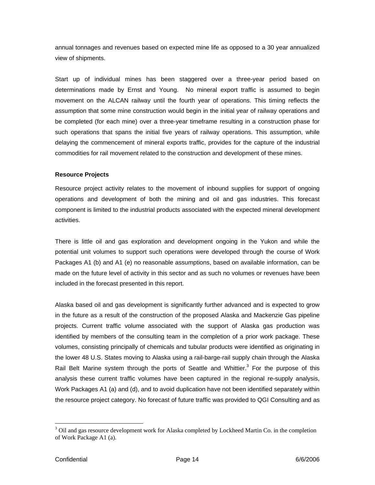annual tonnages and revenues based on expected mine life as opposed to a 30 year annualized view of shipments.

Start up of individual mines has been staggered over a three-year period based on determinations made by Ernst and Young. No mineral export traffic is assumed to begin movement on the ALCAN railway until the fourth year of operations. This timing reflects the assumption that some mine construction would begin in the initial year of railway operations and be completed (for each mine) over a three-year timeframe resulting in a construction phase for such operations that spans the initial five years of railway operations. This assumption, while delaying the commencement of mineral exports traffic, provides for the capture of the industrial commodities for rail movement related to the construction and development of these mines.

#### **Resource Projects**

Resource project activity relates to the movement of inbound supplies for support of ongoing operations and development of both the mining and oil and gas industries. This forecast component is limited to the industrial products associated with the expected mineral development activities.

There is little oil and gas exploration and development ongoing in the Yukon and while the potential unit volumes to support such operations were developed through the course of Work Packages A1 (b) and A1 (e) no reasonable assumptions, based on available information, can be made on the future level of activity in this sector and as such no volumes or revenues have been included in the forecast presented in this report.

Alaska based oil and gas development is significantly further advanced and is expected to grow in the future as a result of the construction of the proposed Alaska and Mackenzie Gas pipeline projects. Current traffic volume associated with the support of Alaska gas production was identified by members of the consulting team in the completion of a prior work package. These volumes, consisting principally of chemicals and tubular products were identified as originating in the lower 48 U.S. States moving to Alaska using a rail-barge-rail supply chain through the Alaska Rail Belt Marine system through the ports of Seattle and Whittier.<sup>[3](#page-13-0)</sup> For the purpose of this analysis these current traffic volumes have been captured in the regional re-supply analysis, Work Packages A1 (a) and (d), and to avoid duplication have not been identified separately within the resource project category. No forecast of future traffic was provided to QGI Consulting and as

<span id="page-13-0"></span><sup>&</sup>lt;sup>3</sup> Oil and gas resource development work for Alaska completed by Lockheed Martin Co. in the completion of Work Package A1 (a).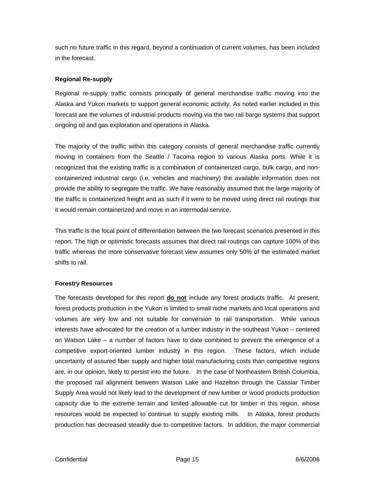such no future traffic in this regard, beyond a continuation of current volumes, has been included in the forecast.

#### **Regional Re-supply**

Regional re-supply traffic consists principally of general merchandise traffic moving into the Alaska and Yukon markets to support general economic activity. As noted earlier included in this forecast are the volumes of industrial products moving via the two rail barge systems that support ongoing oil and gas exploration and operations in Alaska.

The majority of the traffic within this category consists of general merchandise traffic currently moving in containers from the Seattle / Tacoma region to various Alaska ports. While it is recognized that the existing traffic is a combination of containerized cargo, bulk cargo, and noncontainerized industrial cargo (i.e. vehicles and machinery) the available information does not provide the ability to segregate the traffic. We have reasonably assumed that the large majority of the traffic is containerized freight and as such if it were to be moved using direct rail routings that it would remain containerized and move in an intermodal service.

This traffic is the focal point of differentiation between the two forecast scenarios presented in this report. The high or optimistic forecasts assumes that direct rail routings can capture 100% of this traffic whereas the more conservative forecast view assumes only 50% of the estimated market shifts to rail.

#### **Forestry Resources**

The forecasts developed for this report **do not** include any forest products traffic. At present, forest products production in the Yukon is limited to small niche markets and local operations and volumes are very low and not suitable for conversion to rail transportation. While various interests have advocated for the creation of a lumber industry in the southeast Yukon – centered on Watson Lake – a number of factors have to date combined to prevent the emergence of a competitive export-oriented lumber industry in this region. These factors, which include uncertainty of assured fiber supply and higher total manufacturing costs than competitive regions are, in our opinion, likely to persist into the future. In the case of Northeastern British Columbia, the proposed rail alignment between Watson Lake and Hazelton through the Cassiar Timber Supply Area would not likely lead to the development of new lumber or wood products production capacity due to the extreme terrain and limited allowable cut for timber in this region, whose resources would be expected to continue to supply existing mills. In Alaska, forest products production has decreased steadily due to competitive factors. In addition, the major commercial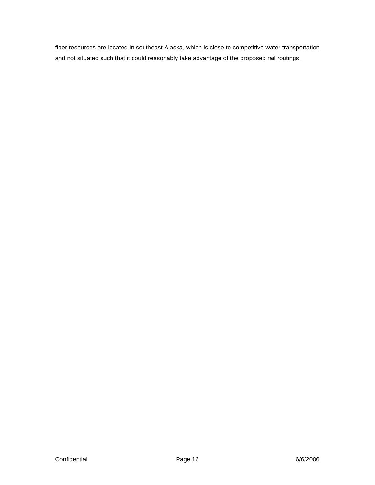fiber resources are located in southeast Alaska, which is close to competitive water transportation and not situated such that it could reasonably take advantage of the proposed rail routings.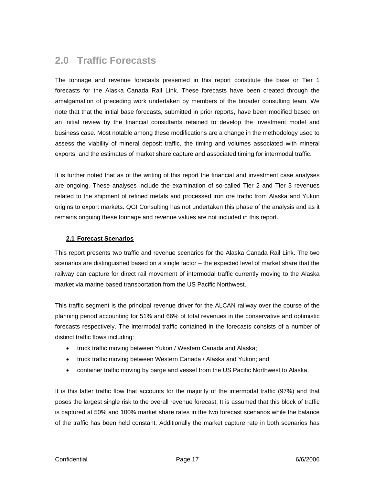### <span id="page-16-0"></span>**2.0 Traffic Forecasts**

The tonnage and revenue forecasts presented in this report constitute the base or Tier 1 forecasts for the Alaska Canada Rail Link. These forecasts have been created through the amalgamation of preceding work undertaken by members of the broader consulting team. We note that that the initial base forecasts, submitted in prior reports, have been modified based on an initial review by the financial consultants retained to develop the investment model and business case. Most notable among these modifications are a change in the methodology used to assess the viability of mineral deposit traffic, the timing and volumes associated with mineral exports, and the estimates of market share capture and associated timing for intermodal traffic.

It is further noted that as of the writing of this report the financial and investment case analyses are ongoing. These analyses include the examination of so-called Tier 2 and Tier 3 revenues related to the shipment of refined metals and processed iron ore traffic from Alaska and Yukon origins to export markets. QGI Consulting has not undertaken this phase of the analysis and as it remains ongoing these tonnage and revenue values are not included in this report.

#### **2.1 Forecast Scenarios**

This report presents two traffic and revenue scenarios for the Alaska Canada Rail Link. The two scenarios are distinguished based on a single factor – the expected level of market share that the railway can capture for direct rail movement of intermodal traffic currently moving to the Alaska market via marine based transportation from the US Pacific Northwest.

This traffic segment is the principal revenue driver for the ALCAN railway over the course of the planning period accounting for 51% and 66% of total revenues in the conservative and optimistic forecasts respectively. The intermodal traffic contained in the forecasts consists of a number of distinct traffic flows including:

- truck traffic moving between Yukon / Western Canada and Alaska;
- truck traffic moving between Western Canada / Alaska and Yukon; and
- container traffic moving by barge and vessel from the US Pacific Northwest to Alaska.

It is this latter traffic flow that accounts for the majority of the intermodal traffic (97%) and that poses the largest single risk to the overall revenue forecast. It is assumed that this block of traffic is captured at 50% and 100% market share rates in the two forecast scenarios while the balance of the traffic has been held constant. Additionally the market capture rate in both scenarios has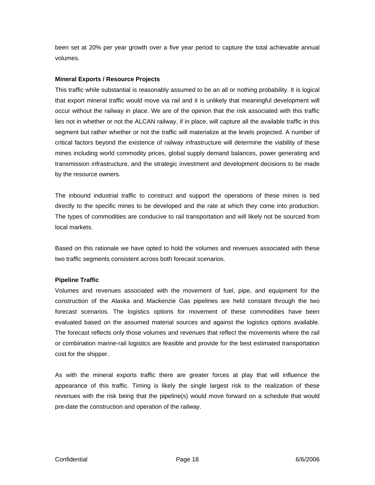been set at 20% per year growth over a five year period to capture the total achievable annual volumes.

#### **Mineral Exports / Resource Projects**

This traffic while substantial is reasonably assumed to be an all or nothing probability. It is logical that export mineral traffic would move via rail and it is unlikely that meaningful development will occur without the railway in place. We are of the opinion that the risk associated with this traffic lies not in whether or not the ALCAN railway, if in place, will capture all the available traffic in this segment but rather whether or not the traffic will materialize at the levels projected. A number of critical factors beyond the existence of railway infrastructure will determine the viability of these mines including world commodity prices, global supply demand balances, power generating and transmission infrastructure, and the strategic investment and development decisions to be made by the resource owners.

The inbound industrial traffic to construct and support the operations of these mines is tied directly to the specific mines to be developed and the rate at which they come into production. The types of commodities are conducive to rail transportation and will likely not be sourced from local markets.

Based on this rationale we have opted to hold the volumes and revenues associated with these two traffic segments consistent across both forecast scenarios.

#### **Pipeline Traffic**

Volumes and revenues associated with the movement of fuel, pipe, and equipment for the construction of the Alaska and Mackenzie Gas pipelines are held constant through the two forecast scenarios. The logistics options for movement of these commodities have been evaluated based on the assumed material sources and against the logistics options available. The forecast reflects only those volumes and revenues that reflect the movements where the rail or combination marine-rail logistics are feasible and provide for the best estimated transportation cost for the shipper.

As with the mineral exports traffic there are greater forces at play that will influence the appearance of this traffic. Timing is likely the single largest risk to the realization of these revenues with the risk being that the pipeline(s) would move forward on a schedule that would pre-date the construction and operation of the railway.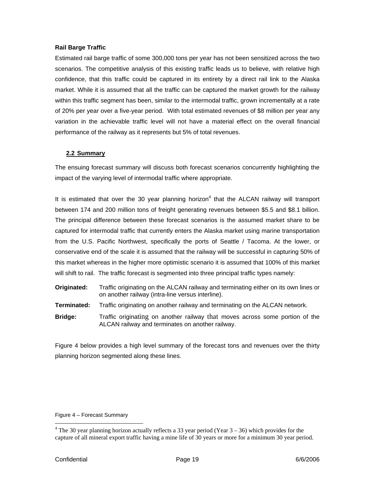#### <span id="page-18-0"></span>**Rail Barge Traffic**

Estimated rail barge traffic of some 300,000 tons per year has not been sensitized across the two scenarios. The competitive analysis of this existing traffic leads us to believe, with relative high confidence, that this traffic could be captured in its entirety by a direct rail link to the Alaska market. While it is assumed that all the traffic can be captured the market growth for the railway within this traffic segment has been, similar to the intermodal traffic, grown incrementally at a rate of 20% per year over a five-year period. With total estimated revenues of \$8 million per year any variation in the achievable traffic level will not have a material effect on the overall financial performance of the railway as it represents but 5% of total revenues.

#### **2.2 Summary**

The ensuing forecast summary will discuss both forecast scenarios concurrently highlighting the impact of the varying level of intermodal traffic where appropriate.

It is estimated that over the 30 year planning horizon<sup>[4](#page-18-1)</sup> that the ALCAN railway will transport between 174 and 200 million tons of freight generating revenues between \$5.5 and \$8.1 billion. The principal difference between these forecast scenarios is the assumed market share to be captured for intermodal traffic that currently enters the Alaska market using marine transportation from the U.S. Pacific Northwest, specifically the ports of Seattle / Tacoma. At the lower, or conservative end of the scale it is assumed that the railway will be successful in capturing 50% of this market whereas in the higher more optimistic scenario it is assumed that 100% of this market will shift to rail. The traffic forecast is segmented into three principal traffic types namely:

- **Originated:** Traffic originating on the ALCAN railway and terminating either on its own lines or on another railway (intra-line versus interline).
- **Terminated:** Traffic originating on another railway and terminating on the ALCAN network.
- **Bridge:** Traffic originating on another railway that moves across some portion of the ALCAN railway and terminates on another railway.

Figure 4 below provides a high level summary of the forecast tons and revenues over the thirty planning horizon segmented along these lines.

Figure 4 – Forecast Summary

<span id="page-18-1"></span><sup>&</sup>lt;sup>4</sup> The 30 year planning horizon actually reflects a 33 year period (Year  $3 - 36$ ) which provides for the capture of all mineral export traffic having a mine life of 30 years or more for a minimum 30 year period.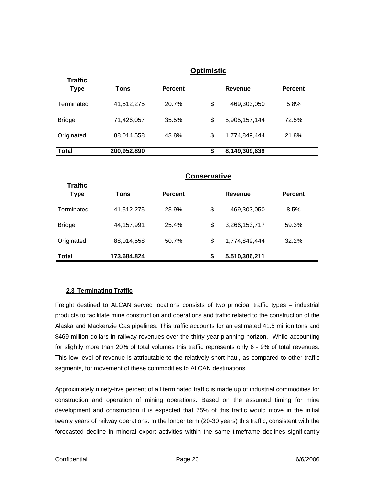<span id="page-19-0"></span>

|                               |                     |                | <b>Optimistic</b>   |                |                |  |
|-------------------------------|---------------------|----------------|---------------------|----------------|----------------|--|
| <b>Traffic</b><br><u>Type</u> | <b>Tons</b>         | <b>Percent</b> |                     | <b>Revenue</b> | <b>Percent</b> |  |
| Terminated                    | 41,512,275          | 20.7%          | \$                  | 469,303,050    | 5.8%           |  |
| <b>Bridge</b>                 | 71,426,057          | 35.5%          | \$                  | 5,905,157,144  | 72.5%          |  |
| Originated                    | 88,014,558          | 43.8%          | \$                  | 1,774,849,444  | 21.8%          |  |
| <b>Total</b>                  | 200,952,890         |                | \$                  |                |                |  |
| <b>Traffic</b>                |                     |                | <b>Conservative</b> |                |                |  |
| <u>Type</u>                   | <b>Tons</b>         | <b>Percent</b> |                     | <b>Revenue</b> | <b>Percent</b> |  |
| Terminated                    | 41,512,275          | 23.9%          | \$                  | 469,303,050    | 8.5%           |  |
| <b>Bridge</b>                 | 44,157,991          | 25.4%          | \$                  | 3,266,153,717  | 59.3%          |  |
| Originated                    | 88,014,558<br>50.7% |                | \$                  | 1,774,849,444  | 32.2%          |  |
| <b>Total</b>                  | 173,684,824         |                | \$                  | 5,510,306,211  |                |  |

#### **2.3 Terminating Traffic**

Freight destined to ALCAN served locations consists of two principal traffic types – industrial products to facilitate mine construction and operations and traffic related to the construction of the Alaska and Mackenzie Gas pipelines. This traffic accounts for an estimated 41.5 million tons and \$469 million dollars in railway revenues over the thirty year planning horizon. While accounting for slightly more than 20% of total volumes this traffic represents only 6 - 9% of total revenues. This low level of revenue is attributable to the relatively short haul, as compared to other traffic segments, for movement of these commodities to ALCAN destinations.

Approximately ninety-five percent of all terminated traffic is made up of industrial commodities for construction and operation of mining operations. Based on the assumed timing for mine development and construction it is expected that 75% of this traffic would move in the initial twenty years of railway operations. In the longer term (20-30 years) this traffic, consistent with the forecasted decline in mineral export activities within the same timeframe declines significantly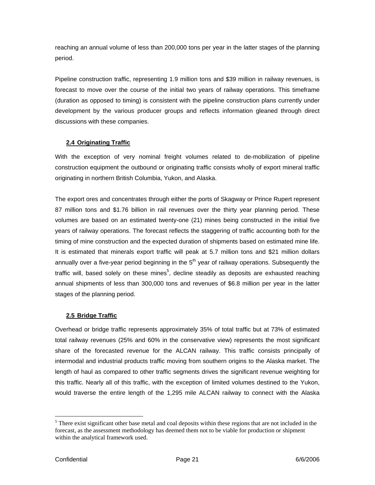<span id="page-20-0"></span>reaching an annual volume of less than 200,000 tons per year in the latter stages of the planning period.

Pipeline construction traffic, representing 1.9 million tons and \$39 million in railway revenues, is forecast to move over the course of the initial two years of railway operations. This timeframe (duration as opposed to timing) is consistent with the pipeline construction plans currently under development by the various producer groups and reflects information gleaned through direct discussions with these companies.

#### **2.4 Originating Traffic**

With the exception of very nominal freight volumes related to de-mobilization of pipeline construction equipment the outbound or originating traffic consists wholly of export mineral traffic originating in northern British Columbia, Yukon, and Alaska.

The export ores and concentrates through either the ports of Skagway or Prince Rupert represent 87 million tons and \$1.76 billion in rail revenues over the thirty year planning period. These volumes are based on an estimated twenty-one (21) mines being constructed in the initial five years of railway operations. The forecast reflects the staggering of traffic accounting both for the timing of mine construction and the expected duration of shipments based on estimated mine life. It is estimated that minerals export traffic will peak at 5.7 million tons and \$21 million dollars annually over a five-year period beginning in the  $5<sup>th</sup>$  year of railway operations. Subsequently the traffic will, based solely on these mines<sup>5</sup>, decline steadily as deposits are exhausted reaching annual shipments of less than 300,000 tons and revenues of \$6.8 million per year in the latter stages of the planning period.

#### **2.5 Bridge Traffic**

Overhead or bridge traffic represents approximately 35% of total traffic but at 73% of estimated total railway revenues (25% and 60% in the conservative view) represents the most significant share of the forecasted revenue for the ALCAN railway. This traffic consists principally of intermodal and industrial products traffic moving from southern origins to the Alaska market. The length of haul as compared to other traffic segments drives the significant revenue weighting for this traffic. Nearly all of this traffic, with the exception of limited volumes destined to the Yukon, would traverse the entire length of the 1,295 mile ALCAN railway to connect with the Alaska

<span id="page-20-1"></span><sup>&</sup>lt;sup>5</sup> There exist significant other base metal and coal deposits within these regions that are not included in the forecast, as the assessment methodology has deemed them not to be viable for production or shipment within the analytical framework used.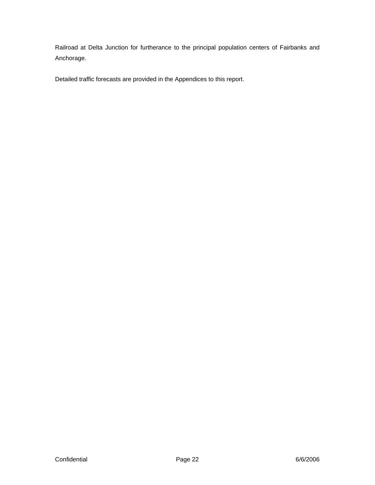Railroad at Delta Junction for furtherance to the principal population centers of Fairbanks and Anchorage.

Detailed traffic forecasts are provided in the Appendices to this report.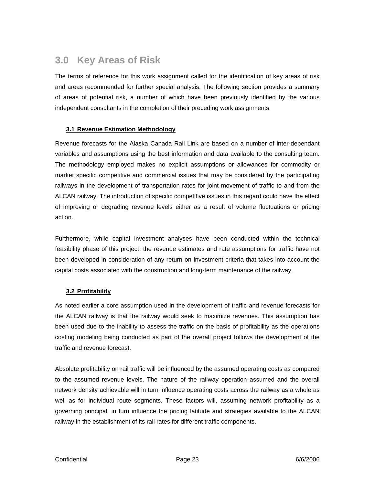### <span id="page-22-0"></span>**3.0 Key Areas of Risk**

The terms of reference for this work assignment called for the identification of key areas of risk and areas recommended for further special analysis. The following section provides a summary of areas of potential risk, a number of which have been previously identified by the various independent consultants in the completion of their preceding work assignments.

#### **3.1 Revenue Estimation Methodology**

Revenue forecasts for the Alaska Canada Rail Link are based on a number of inter-dependant variables and assumptions using the best information and data available to the consulting team. The methodology employed makes no explicit assumptions or allowances for commodity or market specific competitive and commercial issues that may be considered by the participating railways in the development of transportation rates for joint movement of traffic to and from the ALCAN railway. The introduction of specific competitive issues in this regard could have the effect of improving or degrading revenue levels either as a result of volume fluctuations or pricing action.

Furthermore, while capital investment analyses have been conducted within the technical feasibility phase of this project, the revenue estimates and rate assumptions for traffic have not been developed in consideration of any return on investment criteria that takes into account the capital costs associated with the construction and long-term maintenance of the railway.

#### **3.2 Profitability**

As noted earlier a core assumption used in the development of traffic and revenue forecasts for the ALCAN railway is that the railway would seek to maximize revenues. This assumption has been used due to the inability to assess the traffic on the basis of profitability as the operations costing modeling being conducted as part of the overall project follows the development of the traffic and revenue forecast.

Absolute profitability on rail traffic will be influenced by the assumed operating costs as compared to the assumed revenue levels. The nature of the railway operation assumed and the overall network density achievable will in turn influence operating costs across the railway as a whole as well as for individual route segments. These factors will, assuming network profitability as a governing principal, in turn influence the pricing latitude and strategies available to the ALCAN railway in the establishment of its rail rates for different traffic components.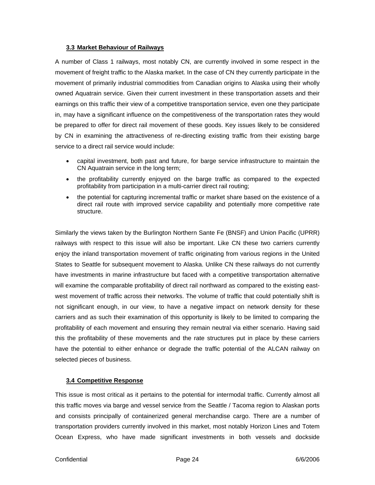#### <span id="page-23-0"></span>**3.3 Market Behaviour of Railways**

A number of Class 1 railways, most notably CN, are currently involved in some respect in the movement of freight traffic to the Alaska market. In the case of CN they currently participate in the movement of primarily industrial commodities from Canadian origins to Alaska using their wholly owned Aquatrain service. Given their current investment in these transportation assets and their earnings on this traffic their view of a competitive transportation service, even one they participate in, may have a significant influence on the competitiveness of the transportation rates they would be prepared to offer for direct rail movement of these goods. Key issues likely to be considered by CN in examining the attractiveness of re-directing existing traffic from their existing barge service to a direct rail service would include:

- capital investment, both past and future, for barge service infrastructure to maintain the CN Aquatrain service in the long term;
- the profitability currently enjoyed on the barge traffic as compared to the expected profitability from participation in a multi-carrier direct rail routing;
- the potential for capturing incremental traffic or market share based on the existence of a direct rail route with improved service capability and potentially more competitive rate structure.

Similarly the views taken by the Burlington Northern Sante Fe (BNSF) and Union Pacific (UPRR) railways with respect to this issue will also be important. Like CN these two carriers currently enjoy the inland transportation movement of traffic originating from various regions in the United States to Seattle for subsequent movement to Alaska. Unlike CN these railways do not currently have investments in marine infrastructure but faced with a competitive transportation alternative will examine the comparable profitability of direct rail northward as compared to the existing eastwest movement of traffic across their networks. The volume of traffic that could potentially shift is not significant enough, in our view, to have a negative impact on network density for these carriers and as such their examination of this opportunity is likely to be limited to comparing the profitability of each movement and ensuring they remain neutral via either scenario. Having said this the profitability of these movements and the rate structures put in place by these carriers have the potential to either enhance or degrade the traffic potential of the ALCAN railway on selected pieces of business.

#### **3.4 Competitive Response**

This issue is most critical as it pertains to the potential for intermodal traffic. Currently almost all this traffic moves via barge and vessel service from the Seattle / Tacoma region to Alaskan ports and consists principally of containerized general merchandise cargo. There are a number of transportation providers currently involved in this market, most notably Horizon Lines and Totem Ocean Express, who have made significant investments in both vessels and dockside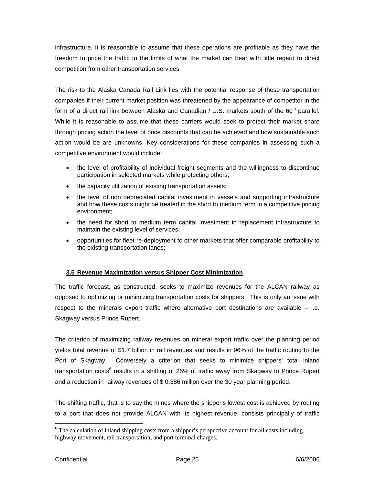<span id="page-24-0"></span>infrastructure. It is reasonable to assume that these operations are profitable as they have the freedom to price the traffic to the limits of what the market can bear with little regard to direct competition from other transportation services.

The risk to the Alaska Canada Rail Link lies with the potential response of these transportation companies if their current market position was threatened by the appearance of competitor in the form of a direct rail link between Alaska and Canadian / U.S. markets south of the  $60<sup>th</sup>$  parallel. While it is reasonable to assume that these carriers would seek to protect their market share through pricing action the level of price discounts that can be achieved and how sustainable such action would be are unknowns. Key considerations for these companies in assessing such a competitive environment would include:

- the level of profitability of individual freight segments and the willingness to discontinue participation in selected markets while protecting others;
- the capacity utilization of existing transportation assets;
- the level of non depreciated capital investment in vessels and supporting infrastructure and how these costs might be treated in the short to medium term in a competitive pricing environment;
- the need for short to medium term capital investment in replacement infrastructure to maintain the existing level of services;
- opportunities for fleet re-deployment to other markets that offer comparable profitability to the existing transportation lanes;

#### **3.5 Revenue Maximization versus Shipper Cost Minimization**

The traffic forecast, as constructed, seeks to maximize revenues for the ALCAN railway as opposed to optimizing or minimizing transportation costs for shippers. This is only an issue with respect to the minerals export traffic where alternative port destinations are available – i.e. Skagway versus Prince Rupert.

The criterion of maximizing railway revenues on mineral export traffic over the planning period yields total revenue of \$1.7 billion in rail revenues and results in 96% of the traffic routing to the Port of Skagway. Conversely a criterion that seeks to minimize shippers' total inland transportation costs<sup>[6](#page-24-1)</sup> results in a shifting of 25% of traffic away from Skagway to Prince Rupert and a reduction in railway revenues of \$ 0.386 million over the 30 year planning period.

The shifting traffic, that is to say the mines where the shipper's lowest cost is achieved by routing to a port that does not provide ALCAN with its highest revenue, consists principally of traffic

<span id="page-24-1"></span><sup>&</sup>lt;sup>6</sup> The calculation of inland shipping costs from a shipper's perspective account for all costs including highway movement, rail transportation, and port terminal charges.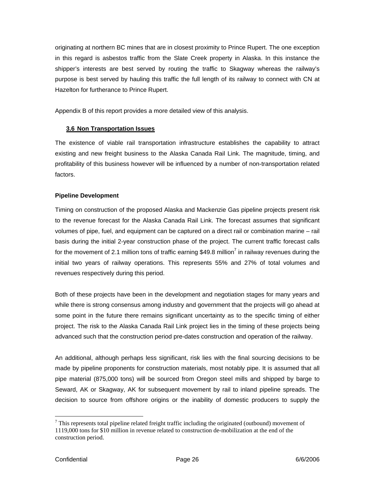<span id="page-25-0"></span>originating at northern BC mines that are in closest proximity to Prince Rupert. The one exception in this regard is asbestos traffic from the Slate Creek property in Alaska. In this instance the shipper's interests are best served by routing the traffic to Skagway whereas the railway's purpose is best served by hauling this traffic the full length of its railway to connect with CN at Hazelton for furtherance to Prince Rupert.

Appendix B of this report provides a more detailed view of this analysis.

#### **3.6 Non Transportation Issues**

The existence of viable rail transportation infrastructure establishes the capability to attract existing and new freight business to the Alaska Canada Rail Link. The magnitude, timing, and profitability of this business however will be influenced by a number of non-transportation related factors.

#### **Pipeline Development**

Timing on construction of the proposed Alaska and Mackenzie Gas pipeline projects present risk to the revenue forecast for the Alaska Canada Rail Link. The forecast assumes that significant volumes of pipe, fuel, and equipment can be captured on a direct rail or combination marine – rail basis during the initial 2-year construction phase of the project. The current traffic forecast calls for the movement of 2.1 million tons of traffic earning \$49.8 million<sup>7</sup> in railway revenues during the initial two years of railway operations. This represents 55% and 27% of total volumes and revenues respectively during this period.

Both of these projects have been in the development and negotiation stages for many years and while there is strong consensus among industry and government that the projects will go ahead at some point in the future there remains significant uncertainty as to the specific timing of either project. The risk to the Alaska Canada Rail Link project lies in the timing of these projects being advanced such that the construction period pre-dates construction and operation of the railway.

An additional, although perhaps less significant, risk lies with the final sourcing decisions to be made by pipeline proponents for construction materials, most notably pipe. It is assumed that all pipe material (875,000 tons) will be sourced from Oregon steel mills and shipped by barge to Seward, AK or Skagway, AK for subsequent movement by rail to inland pipeline spreads. The decision to source from offshore origins or the inability of domestic producers to supply the

<span id="page-25-1"></span> $7$  This represents total pipeline related freight traffic including the originated (outbound) movement of 1119,000 tons for \$10 million in revenue related to construction de-mobilization at the end of the construction period.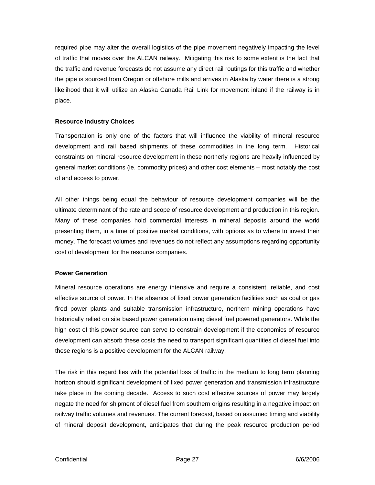required pipe may alter the overall logistics of the pipe movement negatively impacting the level of traffic that moves over the ALCAN railway. Mitigating this risk to some extent is the fact that the traffic and revenue forecasts do not assume any direct rail routings for this traffic and whether the pipe is sourced from Oregon or offshore mills and arrives in Alaska by water there is a strong likelihood that it will utilize an Alaska Canada Rail Link for movement inland if the railway is in place.

#### **Resource Industry Choices**

Transportation is only one of the factors that will influence the viability of mineral resource development and rail based shipments of these commodities in the long term. Historical constraints on mineral resource development in these northerly regions are heavily influenced by general market conditions (ie. commodity prices) and other cost elements – most notably the cost of and access to power.

All other things being equal the behaviour of resource development companies will be the ultimate determinant of the rate and scope of resource development and production in this region. Many of these companies hold commercial interests in mineral deposits around the world presenting them, in a time of positive market conditions, with options as to where to invest their money. The forecast volumes and revenues do not reflect any assumptions regarding opportunity cost of development for the resource companies.

#### **Power Generation**

Mineral resource operations are energy intensive and require a consistent, reliable, and cost effective source of power. In the absence of fixed power generation facilities such as coal or gas fired power plants and suitable transmission infrastructure, northern mining operations have historically relied on site based power generation using diesel fuel powered generators. While the high cost of this power source can serve to constrain development if the economics of resource development can absorb these costs the need to transport significant quantities of diesel fuel into these regions is a positive development for the ALCAN railway.

The risk in this regard lies with the potential loss of traffic in the medium to long term planning horizon should significant development of fixed power generation and transmission infrastructure take place in the coming decade. Access to such cost effective sources of power may largely negate the need for shipment of diesel fuel from southern origins resulting in a negative impact on railway traffic volumes and revenues. The current forecast, based on assumed timing and viability of mineral deposit development, anticipates that during the peak resource production period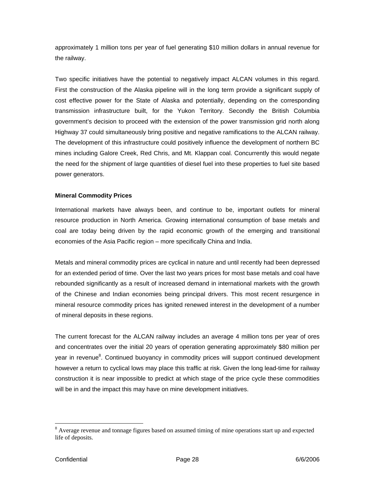approximately 1 million tons per year of fuel generating \$10 million dollars in annual revenue for the railway.

Two specific initiatives have the potential to negatively impact ALCAN volumes in this regard. First the construction of the Alaska pipeline will in the long term provide a significant supply of cost effective power for the State of Alaska and potentially, depending on the corresponding transmission infrastructure built, for the Yukon Territory. Secondly the British Columbia government's decision to proceed with the extension of the power transmission grid north along Highway 37 could simultaneously bring positive and negative ramifications to the ALCAN railway. The development of this infrastructure could positively influence the development of northern BC mines including Galore Creek, Red Chris, and Mt. Klappan coal. Concurrently this would negate the need for the shipment of large quantities of diesel fuel into these properties to fuel site based power generators.

#### **Mineral Commodity Prices**

International markets have always been, and continue to be, important outlets for mineral resource production in North America. Growing international consumption of base metals and coal are today being driven by the rapid economic growth of the emerging and transitional economies of the Asia Pacific region – more specifically China and India.

Metals and mineral commodity prices are cyclical in nature and until recently had been depressed for an extended period of time. Over the last two years prices for most base metals and coal have rebounded significantly as a result of increased demand in international markets with the growth of the Chinese and Indian economies being principal drivers. This most recent resurgence in mineral resource commodity prices has ignited renewed interest in the development of a number of mineral deposits in these regions.

The current forecast for the ALCAN railway includes an average 4 million tons per year of ores and concentrates over the initial 20 years of operation generating approximately \$80 million per year in revenue<sup>8</sup>. Continued buoyancy in commodity prices will support continued development however a return to cyclical lows may place this traffic at risk. Given the long lead-time for railway construction it is near impossible to predict at which stage of the price cycle these commodities will be in and the impact this may have on mine development initiatives.

<span id="page-27-0"></span><sup>&</sup>lt;sup>8</sup> Average revenue and tonnage figures based on assumed timing of mine operations start up and expected life of deposits.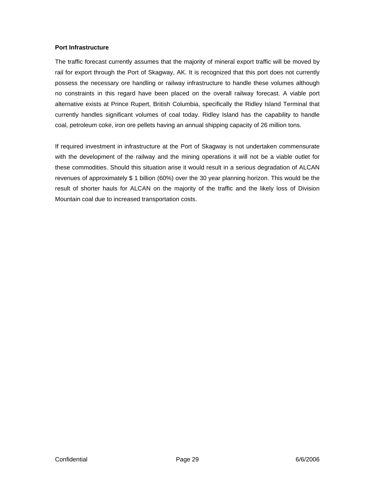#### **Port Infrastructure**

The traffic forecast currently assumes that the majority of mineral export traffic will be moved by rail for export through the Port of Skagway, AK. It is recognized that this port does not currently possess the necessary ore handling or railway infrastructure to handle these volumes although no constraints in this regard have been placed on the overall railway forecast. A viable port alternative exists at Prince Rupert, British Columbia, specifically the Ridley Island Terminal that currently handles significant volumes of coal today. Ridley Island has the capability to handle coal, petroleum coke, iron ore pellets having an annual shipping capacity of 26 million tons.

If required investment in infrastructure at the Port of Skagway is not undertaken commensurate with the development of the railway and the mining operations it will not be a viable outlet for these commodities. Should this situation arise it would result in a serious degradation of ALCAN revenues of approximately \$ 1 billion (60%) over the 30 year planning horizon. This would be the result of shorter hauls for ALCAN on the majority of the traffic and the likely loss of Division Mountain coal due to increased transportation costs.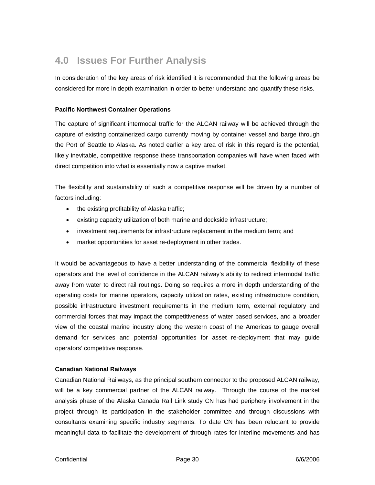### <span id="page-29-0"></span>**4.0 Issues For Further Analysis**

In consideration of the key areas of risk identified it is recommended that the following areas be considered for more in depth examination in order to better understand and quantify these risks.

#### **Pacific Northwest Container Operations**

The capture of significant intermodal traffic for the ALCAN railway will be achieved through the capture of existing containerized cargo currently moving by container vessel and barge through the Port of Seattle to Alaska. As noted earlier a key area of risk in this regard is the potential, likely inevitable, competitive response these transportation companies will have when faced with direct competition into what is essentially now a captive market.

The flexibility and sustainability of such a competitive response will be driven by a number of factors including:

- the existing profitability of Alaska traffic;
- existing capacity utilization of both marine and dockside infrastructure;
- investment requirements for infrastructure replacement in the medium term; and
- market opportunities for asset re-deployment in other trades.

It would be advantageous to have a better understanding of the commercial flexibility of these operators and the level of confidence in the ALCAN railway's ability to redirect intermodal traffic away from water to direct rail routings. Doing so requires a more in depth understanding of the operating costs for marine operators, capacity utilization rates, existing infrastructure condition, possible infrastructure investment requirements in the medium term, external regulatory and commercial forces that may impact the competitiveness of water based services, and a broader view of the coastal marine industry along the western coast of the Americas to gauge overall demand for services and potential opportunities for asset re-deployment that may guide operators' competitive response.

#### **Canadian National Railways**

Canadian National Railways, as the principal southern connector to the proposed ALCAN railway, will be a key commercial partner of the ALCAN railway. Through the course of the market analysis phase of the Alaska Canada Rail Link study CN has had periphery involvement in the project through its participation in the stakeholder committee and through discussions with consultants examining specific industry segments. To date CN has been reluctant to provide meaningful data to facilitate the development of through rates for interline movements and has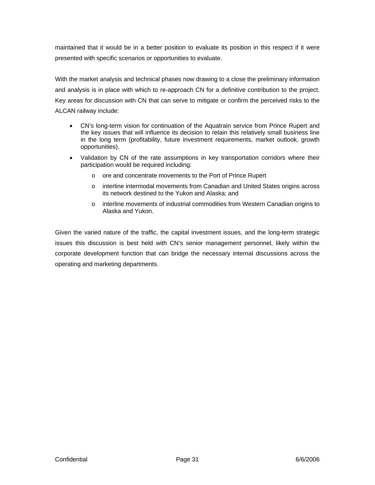maintained that it would be in a better position to evaluate its position in this respect if it were presented with specific scenarios or opportunities to evaluate.

With the market analysis and technical phases now drawing to a close the preliminary information and analysis is in place with which to re-approach CN for a definitive contribution to the project. Key areas for discussion with CN that can serve to mitigate or confirm the perceived risks to the ALCAN railway include:

- CN's long-term vision for continuation of the Aquatrain service from Prince Rupert and the key issues that will influence its decision to retain this relatively small business line in the long term (profitability, future investment requirements, market outlook, growth opportunities).
- Validation by CN of the rate assumptions in key transportation corridors where their participation would be required including:
	- o ore and concentrate movements to the Port of Prince Rupert
	- o interline intermodal movements from Canadian and United States origins across its network destined to the Yukon and Alaska; and
	- o interline movements of industrial commodities from Western Canadian origins to Alaska and Yukon.

Given the varied nature of the traffic, the capital investment issues, and the long-term strategic issues this discussion is best held with CN's senior management personnel, likely within the corporate development function that can bridge the necessary internal discussions across the operating and marketing departments.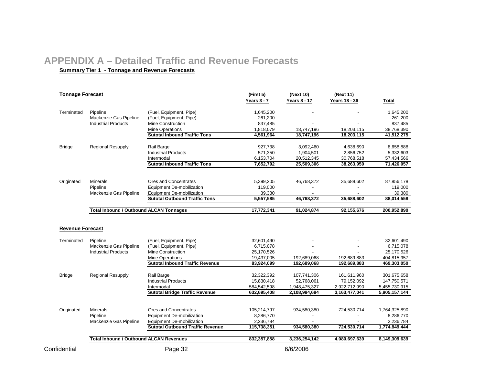### **APPENDIX A – Detailed Traffic and Revenue Forecasts**

#### **ary Tier 1 - Tonnage and R e v enue Forecasts**

<span id="page-31-0"></span>

| <b>Tonnage Forecast</b> |                                                |                                                    | (First 5)<br><b>Years 3 - 7</b> | (Next 10)<br>Years 8 - 17 | (Next 11)<br>Years 18 - 36 | <b>Total</b>               |  |
|-------------------------|------------------------------------------------|----------------------------------------------------|---------------------------------|---------------------------|----------------------------|----------------------------|--|
| Terminated              | Pipeline                                       | (Fuel, Equipment, Pipe)                            | 1,645,200                       |                           |                            | 1,645,200                  |  |
|                         | Mackenzie Gas Pipeline                         | (Fuel, Equipment, Pipe)                            | 261,200                         |                           |                            | 261,200                    |  |
|                         | <b>Industrial Products</b>                     | <b>Mine Construction</b>                           | 837,485                         |                           |                            | 837,485                    |  |
|                         |                                                | Mine Operations                                    | 1,818,079                       | 18,747,196                | 18,203,115                 | 38,768,390                 |  |
|                         |                                                | <b>Sutotal Inbound Traffic Tons</b>                | 4,561,964                       | 18,747,196                | 18,203,115                 | 41,512,275                 |  |
| <b>Bridge</b>           | <b>Regional Resupply</b>                       | Rail Barge                                         | 927,738                         | 3,092,460                 | 4,638,690                  | 8,658,888                  |  |
|                         |                                                | <b>Industrial Products</b>                         | 571,350                         | 1,904,501                 | 2,856,752                  | 5,332,603                  |  |
|                         |                                                | Intermodal                                         | 6,153,704                       | 20,512,345                | 30,768,518                 | 57,434,566                 |  |
|                         |                                                | <b>Sutotal Inbound Traffic Tons</b>                | 7,652,792                       | 25,509,306                | 38,263,959                 | 71,426,057                 |  |
|                         |                                                |                                                    |                                 |                           |                            |                            |  |
| Originated              | <b>Minerals</b>                                | Ores and Concentrates                              | 5,399,205                       | 46,768,372                | 35,688,602                 | 87,856,178                 |  |
|                         | Pipeline                                       | <b>Equipment De-mobilization</b>                   | 119,000                         |                           |                            | 119,000                    |  |
|                         | Mackenzie Gas Pipeline                         | <b>Equipment De-mobilization</b>                   | 39,380                          |                           |                            | 39,380                     |  |
|                         |                                                | <b>Sutotal Outbound Traffic Tons</b>               | 5,557,585                       | 46,768,372                | 35,688,602                 | 88,014,558                 |  |
|                         | <b>Total Inbound / Outbound ALCAN Tonnages</b> |                                                    | 17,772,341                      | 91,024,874                | 92,155,676                 | 200,952,890                |  |
| Terminated              | Pipeline<br>Mackenzie Gas Pipeline             | (Fuel, Equipment, Pipe)<br>(Fuel, Equipment, Pipe) | 32,601,490<br>6,715,078         |                           |                            | 32,601,490<br>6,715,078    |  |
|                         | <b>Industrial Products</b>                     | <b>Mine Construction</b>                           | 25,170,526                      |                           |                            | 25,170,526                 |  |
|                         |                                                | Mine Operations                                    | 19,437,005                      | 192,689,068               | 192,689,883                | 404,815,957                |  |
|                         |                                                | <b>Sutotal Inbound Traffic Revenue</b>             | 83,924,099                      | 192,689,068               | 192,689,883                | 469,303,050                |  |
| <b>Bridge</b>           | <b>Regional Resupply</b>                       | Rail Barge                                         | 32,322,392                      | 107,741,306               | 161,611,960                | 301,675,658                |  |
|                         |                                                | <b>Industrial Products</b>                         | 15,830,418                      | 52,768,061                | 79,152,092                 | 147,750,571                |  |
|                         |                                                | Intermodal                                         | 584,542,598                     | 1,948,475,327             | 2,922,712,990              | 5,455,730,915              |  |
|                         |                                                | <b>Sutotal Bridge Traffic Revenue</b>              | 632,695,408                     | 2,108,984,694             | 3,163,477,041              | 5,905,157,144              |  |
|                         |                                                | Ores and Concentrates                              |                                 |                           |                            | 1,764,325,890              |  |
| Originated              | <b>Minerals</b><br>Pipeline                    | Equipment De-mobilization                          | 105,214,797<br>8,286,770        | 934,580,380               | 724,530,714                | 8,286,770                  |  |
|                         | Mackenzie Gas Pipeline                         | <b>Equipment De-mobilization</b>                   |                                 |                           |                            |                            |  |
|                         |                                                | <b>Sutotal Outbound Traffic Revenue</b>            | 2,236,784<br>115,738,351        | 934,580,380               | 724,530,714                | 2,236,784<br>1,774,849,444 |  |
|                         | <b>Total Inbound / Outbound ALCAN Revenues</b> |                                                    | 832,357,858                     | 3,236,254,142             | 4,080,697,639              | 8,149,309,639              |  |
| Confidential            |                                                | Page 32                                            |                                 | 6/6/2006                  |                            |                            |  |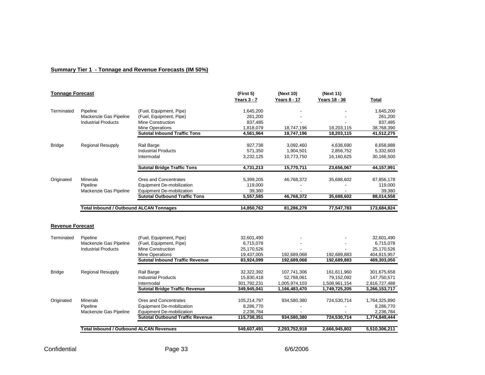#### **Summary Tier 1 - Tonnage and Revenue Forecasts (IM 50%)**

| <b>Tonnage Forecast</b> |                                                |                                         | (First 5)   | (Next 10)           | (Next 11)     |               |
|-------------------------|------------------------------------------------|-----------------------------------------|-------------|---------------------|---------------|---------------|
|                         |                                                |                                         | Years 3 - 7 | <b>Years 8 - 17</b> | Years 18 - 36 | Total         |
| Terminated              | Pipeline                                       | (Fuel, Equipment, Pipe)                 | 1,645,200   |                     |               | 1,645,200     |
|                         | Mackenzie Gas Pipeline                         | (Fuel, Equipment, Pipe)                 | 261,200     |                     |               | 261,200       |
|                         | <b>Industrial Products</b>                     | Mine Construction                       | 837,485     |                     |               | 837,485       |
|                         |                                                | <b>Mine Operations</b>                  | 1,818,079   | 18,747,196          | 18,203,115    | 38,768,390    |
|                         |                                                | <b>Sutotal Inbound Traffic Tons</b>     | 4,561,964   | 18,747,196          | 18,203,115    | 41,512,275    |
| <b>Bridge</b>           | <b>Regional Resupply</b>                       | Rail Barge                              | 927,738     | 3,092,460           | 4,638,690     | 8,658,888     |
|                         |                                                | <b>Industrial Products</b>              | 571,350     | 1,904,501           | 2,856,752     | 5,332,603     |
|                         |                                                | Intermodal                              | 3,232,125   | 10,773,750          | 16,160,625    | 30,166,500    |
|                         |                                                | <b>Sutotal Bridge Traffic Tons</b>      | 4,731,213   | 15,770,711          | 23,656,067    | 44,157,991    |
| Originated              | Minerals                                       | Ores and Concentrates                   | 5,399,205   | 46,768,372          | 35,688,602    | 87,856,178    |
|                         | Pipeline                                       | Equipment De-mobilization               | 119,000     |                     |               | 119,000       |
|                         | Mackenzie Gas Pipeline                         | Equipment De-mobilization               | 39,380      |                     |               | 39,380        |
|                         |                                                | <b>Sutotal Outbound Traffic Tons</b>    | 5,557,585   | 46,768,372          | 35,688,602    | 88,014,558    |
|                         |                                                |                                         |             |                     |               |               |
|                         | <b>Total Inbound / Outbound ALCAN Tonnages</b> |                                         | 14,850,762  | 81,286,279          | 77,547,783    | 173,684,824   |
| <b>Revenue Forecast</b> |                                                |                                         |             |                     |               |               |
| Terminated              | Pipeline                                       | (Fuel, Equipment, Pipe)                 | 32,601,490  |                     |               | 32,601,490    |
|                         | Mackenzie Gas Pipeline                         | (Fuel, Equipment, Pipe)                 | 6,715,078   |                     |               | 6,715,078     |
|                         | <b>Industrial Products</b>                     | Mine Construction                       | 25,170,526  |                     |               | 25,170,526    |
|                         |                                                | <b>Mine Operations</b>                  | 19,437,005  | 192.689.068         | 192.689.883   | 404,815,957   |
|                         |                                                | <b>Sutotal Inbound Traffic Revenue</b>  | 83,924,099  | 192,689,068         | 192,689,883   | 469,303,050   |
| <b>Bridge</b>           | <b>Regional Resupply</b>                       | Rail Barge                              | 32,322,392  | 107,741,306         | 161,611,960   | 301,675,658   |
|                         |                                                | <b>Industrial Products</b>              | 15,830,418  | 52,768,061          | 79,152,092    | 147,750,571   |
|                         |                                                | Intermodal                              | 301,792,231 | 1,005,974,103       | 1,508,961,154 | 2,816,727,488 |
|                         |                                                | <b>Sutotal Bridge Traffic Revenue</b>   | 349,945,041 | 1,166,483,470       | 1,749,725,205 | 3,266,153,717 |
|                         |                                                |                                         |             |                     |               |               |
| Originated              | <b>Minerals</b>                                | Ores and Concentrates                   | 105,214,797 | 934,580,380         | 724,530,714   | 1,764,325,890 |
|                         | Pipeline                                       | <b>Equipment De-mobilization</b>        | 8,286,770   |                     |               | 8,286,770     |
|                         | Mackenzie Gas Pipeline                         | Equipment De-mobilization               | 2,236,784   |                     |               | 2,236,784     |
|                         |                                                | <b>Sutotal Outbound Traffic Revenue</b> | 115,738,351 | 934,580,380         | 724,530,714   | 1,774,849,444 |
|                         | <b>Total Inbound / Outbound ALCAN Revenues</b> |                                         | 549,607,491 | 2,293,752,918       | 2,666,945,802 | 5,510,306,211 |